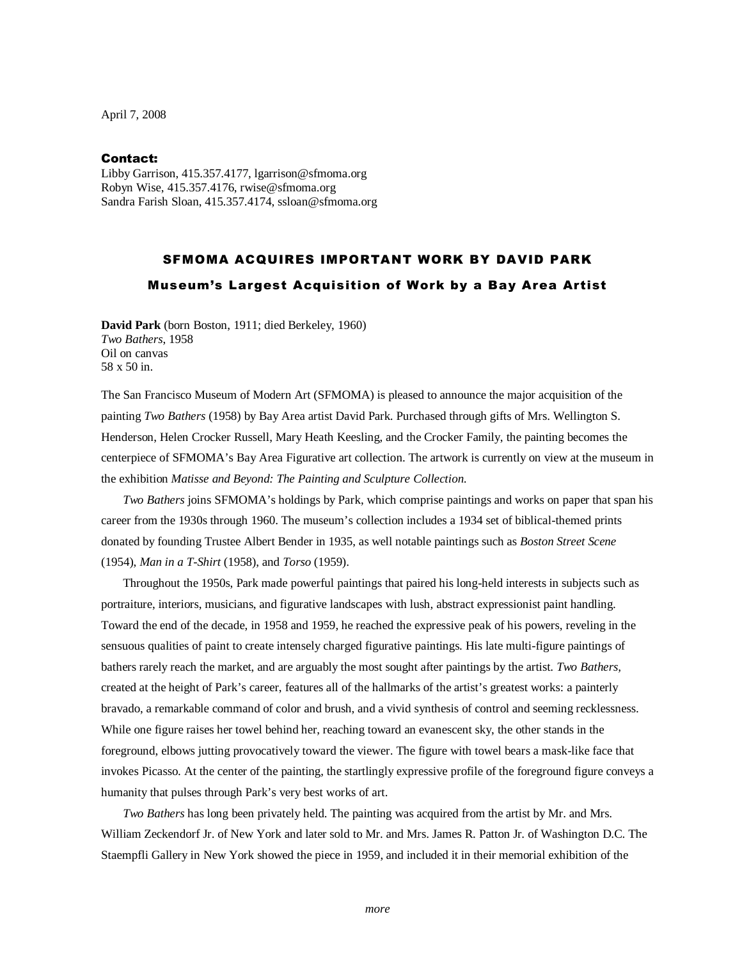April 7, 2008

## Contact:

Libby Garrison, 415.357.4177, lgarrison@sfmoma.org Robyn Wise, 415.357.4176, rwise@sfmoma.org Sandra Farish Sloan, 415.357.4174, ssloan@sfmoma.org

## SFMOMA ACQUIRES IMPORTANT WORK BY DAVID PARK Museum's Largest Acquisition of Work by a Bay Area Artist

**David Park** (born Boston, 1911; died Berkeley, 1960) *Two Bathers*, 1958 Oil on canvas 58 x 50 in.

The San Francisco Museum of Modern Art (SFMOMA) is pleased to announce the major acquisition of the painting *Two Bathers* (1958) by Bay Area artist David Park. Purchased through gifts of Mrs. Wellington S. Henderson, Helen Crocker Russell, Mary Heath Keesling, and the Crocker Family, the painting becomes the centerpiece of SFMOMA's Bay Area Figurative art collection. The artwork is currently on view at the museum in the exhibition *Matisse and Beyond: The Painting and Sculpture Collection*.

*Two Bathers* joins SFMOMA's holdings by Park, which comprise paintings and works on paper that span his career from the 1930s through 1960. The museum's collection includes a 1934 set of biblical-themed prints donated by founding Trustee Albert Bender in 1935, as well notable paintings such as *Boston Street Scene* (1954), *Man in a T-Shirt* (1958), and *Torso* (1959).

Throughout the 1950s, Park made powerful paintings that paired his long-held interests in subjects such as portraiture, interiors, musicians, and figurative landscapes with lush, abstract expressionist paint handling. Toward the end of the decade, in 1958 and 1959, he reached the expressive peak of his powers, reveling in the sensuous qualities of paint to create intensely charged figurative paintings. His late multi-figure paintings of bathers rarely reach the market, and are arguably the most sought after paintings by the artist. *Two Bathers,* created at the height of Park's career, features all of the hallmarks of the artist's greatest works: a painterly bravado, a remarkable command of color and brush, and a vivid synthesis of control and seeming recklessness. While one figure raises her towel behind her, reaching toward an evanescent sky, the other stands in the foreground, elbows jutting provocatively toward the viewer. The figure with towel bears a mask-like face that invokes Picasso. At the center of the painting, the startlingly expressive profile of the foreground figure conveys a humanity that pulses through Park's very best works of art.

*Two Bathers* has long been privately held. The painting was acquired from the artist by Mr. and Mrs. William Zeckendorf Jr. of New York and later sold to Mr. and Mrs. James R. Patton Jr. of Washington D.C. The Staempfli Gallery in New York showed the piece in 1959, and included it in their memorial exhibition of the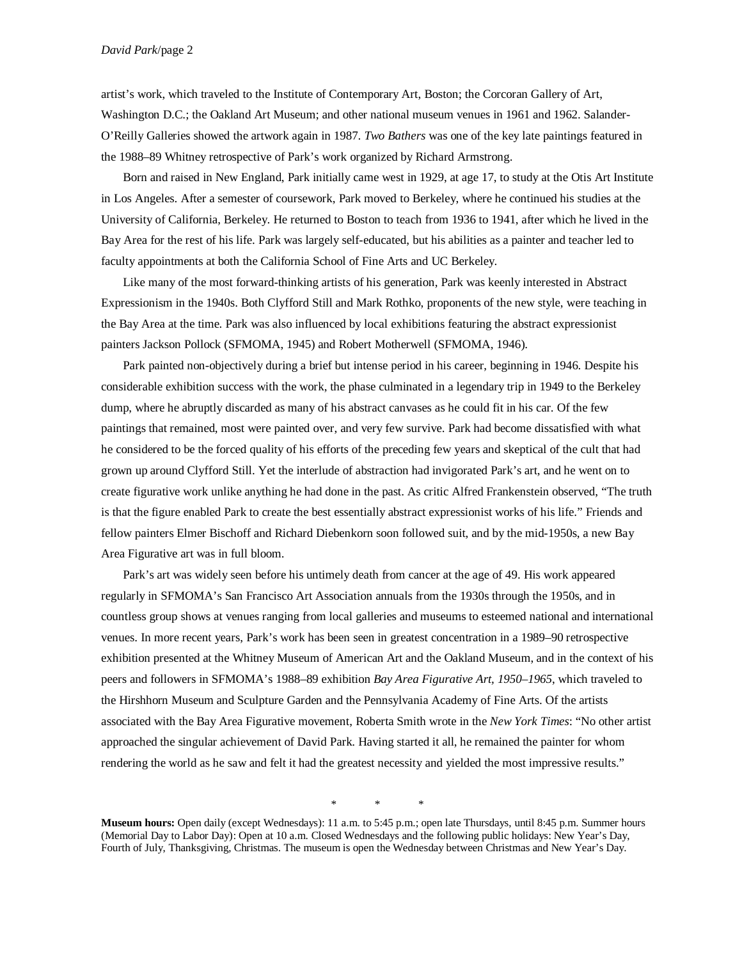artist's work, which traveled to the Institute of Contemporary Art, Boston; the Corcoran Gallery of Art, Washington D.C.; the Oakland Art Museum; and other national museum venues in 1961 and 1962. Salander-O'Reilly Galleries showed the artwork again in 1987. *Two Bathers* was one of the key late paintings featured in the 1988–89 Whitney retrospective of Park's work organized by Richard Armstrong.

Born and raised in New England, Park initially came west in 1929, at age 17, to study at the Otis Art Institute in Los Angeles. After a semester of coursework, Park moved to Berkeley, where he continued his studies at the University of California, Berkeley. He returned to Boston to teach from 1936 to 1941, after which he lived in the Bay Area for the rest of his life. Park was largely self-educated, but his abilities as a painter and teacher led to faculty appointments at both the California School of Fine Arts and UC Berkeley.

Like many of the most forward-thinking artists of his generation, Park was keenly interested in Abstract Expressionism in the 1940s. Both Clyfford Still and Mark Rothko, proponents of the new style, were teaching in the Bay Area at the time. Park was also influenced by local exhibitions featuring the abstract expressionist painters Jackson Pollock (SFMOMA, 1945) and Robert Motherwell (SFMOMA, 1946).

Park painted non-objectively during a brief but intense period in his career, beginning in 1946. Despite his considerable exhibition success with the work, the phase culminated in a legendary trip in 1949 to the Berkeley dump, where he abruptly discarded as many of his abstract canvases as he could fit in his car. Of the few paintings that remained, most were painted over, and very few survive. Park had become dissatisfied with what he considered to be the forced quality of his efforts of the preceding few years and skeptical of the cult that had grown up around Clyfford Still. Yet the interlude of abstraction had invigorated Park's art, and he went on to create figurative work unlike anything he had done in the past. As critic Alfred Frankenstein observed, "The truth is that the figure enabled Park to create the best essentially abstract expressionist works of his life." Friends and fellow painters Elmer Bischoff and Richard Diebenkorn soon followed suit, and by the mid-1950s, a new Bay Area Figurative art was in full bloom.

Park's art was widely seen before his untimely death from cancer at the age of 49. His work appeared regularly in SFMOMA's San Francisco Art Association annuals from the 1930s through the 1950s, and in countless group shows at venues ranging from local galleries and museums to esteemed national and international venues. In more recent years, Park's work has been seen in greatest concentration in a 1989–90 retrospective exhibition presented at the Whitney Museum of American Art and the Oakland Museum, and in the context of his peers and followers in SFMOMA's 1988–89 exhibition *Bay Area Figurative Art, 1950*–*1965*, which traveled to the Hirshhorn Museum and Sculpture Garden and the Pennsylvania Academy of Fine Arts. Of the artists associated with the Bay Area Figurative movement, Roberta Smith wrote in the *New York Times*: "No other artist approached the singular achievement of David Park. Having started it all, he remained the painter for whom rendering the world as he saw and felt it had the greatest necessity and yielded the most impressive results."

\* \* \*

**Museum hours:** Open daily (except Wednesdays): 11 a.m. to 5:45 p.m.; open late Thursdays, until 8:45 p.m. Summer hours (Memorial Day to Labor Day): Open at 10 a.m. Closed Wednesdays and the following public holidays: New Year's Day, Fourth of July, Thanksgiving, Christmas. The museum is open the Wednesday between Christmas and New Year's Day.